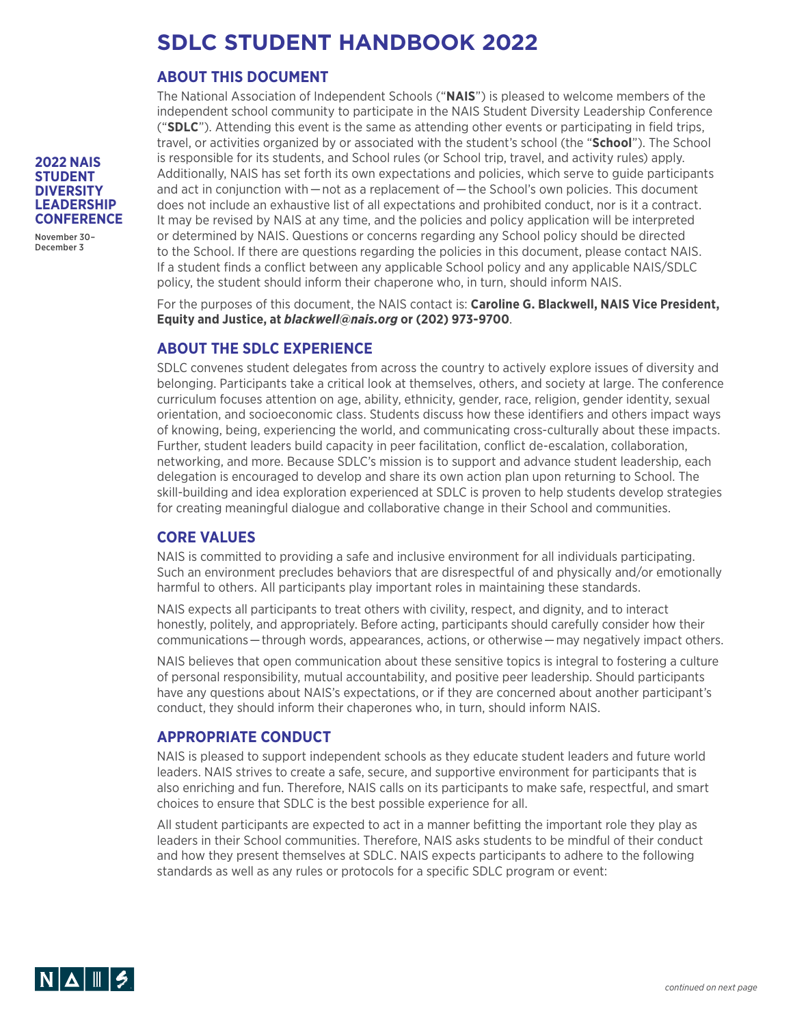# **SDLC STUDENT HANDBOOK 2022**

## **ABOUT THIS DOCUMENT**

The National Association of Independent Schools ("**NAIS**") is pleased to welcome members of the independent school community to participate in the NAIS Student Diversity Leadership Conference ("**SDLC**"). Attending this event is the same as attending other events or participating in field trips, travel, or activities organized by or associated with the student's school (the "**School**"). The School is responsible for its students, and School rules (or School trip, travel, and activity rules) apply. Additionally, NAIS has set forth its own expectations and policies, which serve to guide participants and act in conjunction with — not as a replacement of — the School's own policies. This document does not include an exhaustive list of all expectations and prohibited conduct, nor is it a contract. It may be revised by NAIS at any time, and the policies and policy application will be interpreted or determined by NAIS. Questions or concerns regarding any School policy should be directed to the School. If there are questions regarding the policies in this document, please contact NAIS. If a student finds a conflict between any applicable School policy and any applicable NAIS/SDLC policy, the student should inform their chaperone who, in turn, should inform NAIS.

For the purposes of this document, the NAIS contact is: **Caroline G. Blackwell, NAIS Vice President, Equity and Justice, at** *blackwell@nais.org* **or (202) 973-9700**.

# **ABOUT THE SDLC EXPERIENCE**

SDLC convenes student delegates from across the country to actively explore issues of diversity and belonging. Participants take a critical look at themselves, others, and society at large. The conference curriculum focuses attention on age, ability, ethnicity, gender, race, religion, gender identity, sexual orientation, and socioeconomic class. Students discuss how these identifiers and others impact ways of knowing, being, experiencing the world, and communicating cross-culturally about these impacts. Further, student leaders build capacity in peer facilitation, conflict de-escalation, collaboration, networking, and more. Because SDLC's mission is to support and advance student leadership, each delegation is encouraged to develop and share its own action plan upon returning to School. The skill-building and idea exploration experienced at SDLC is proven to help students develop strategies for creating meaningful dialogue and collaborative change in their School and communities.

## **CORE VALUES**

NAIS is committed to providing a safe and inclusive environment for all individuals participating. Such an environment precludes behaviors that are disrespectful of and physically and/or emotionally harmful to others. All participants play important roles in maintaining these standards.

NAIS expects all participants to treat others with civility, respect, and dignity, and to interact honestly, politely, and appropriately. Before acting, participants should carefully consider how their communications — through words, appearances, actions, or otherwise — may negatively impact others.

NAIS believes that open communication about these sensitive topics is integral to fostering a culture of personal responsibility, mutual accountability, and positive peer leadership. Should participants have any questions about NAIS's expectations, or if they are concerned about another participant's conduct, they should inform their chaperones who, in turn, should inform NAIS.

## **APPROPRIATE CONDUCT**

NAIS is pleased to support independent schools as they educate student leaders and future world leaders. NAIS strives to create a safe, secure, and supportive environment for participants that is also enriching and fun. Therefore, NAIS calls on its participants to make safe, respectful, and smart choices to ensure that SDLC is the best possible experience for all.

All student participants are expected to act in a manner befitting the important role they play as leaders in their School communities. Therefore, NAIS asks students to be mindful of their conduct and how they present themselves at SDLC. NAIS expects participants to adhere to the following standards as well as any rules or protocols for a specific SDLC program or event:



**2022 NAIS STUDENT DIVERSITY LEADERSHIP CONFERENCE** November 30– December 3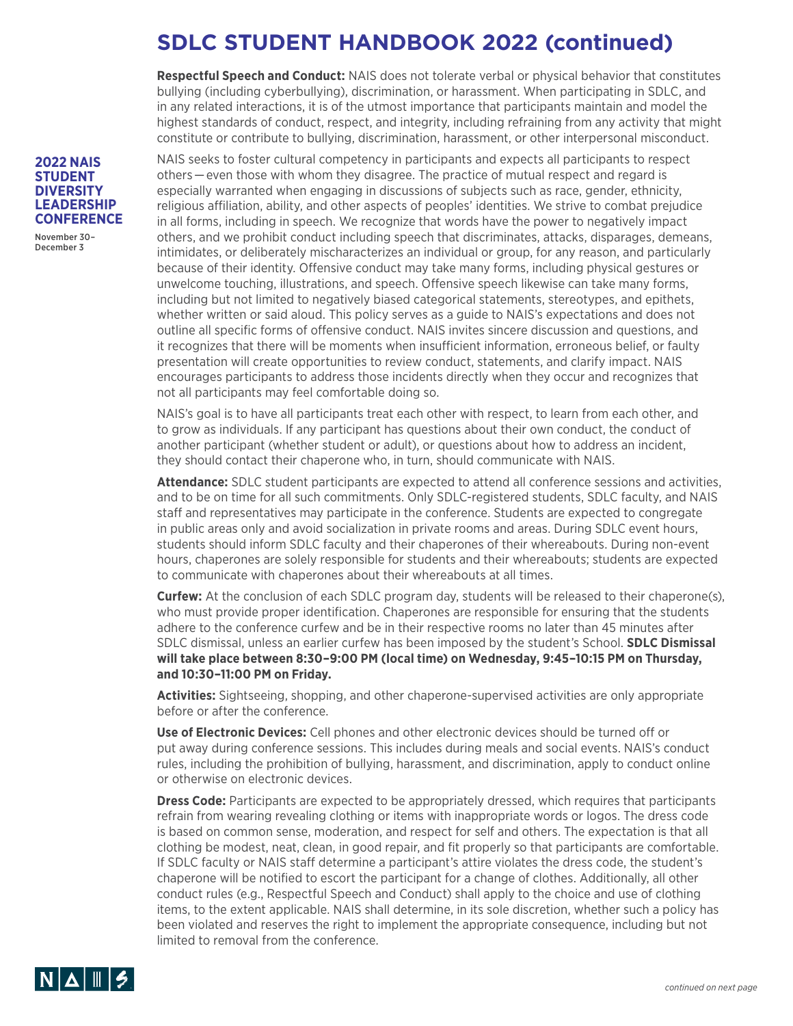# **SDLC STUDENT HANDBOOK 2022 (continued)**

**Respectful Speech and Conduct:** NAIS does not tolerate verbal or physical behavior that constitutes bullying (including cyberbullying), discrimination, or harassment. When participating in SDLC, and in any related interactions, it is of the utmost importance that participants maintain and model the highest standards of conduct, respect, and integrity, including refraining from any activity that might constitute or contribute to bullying, discrimination, harassment, or other interpersonal misconduct.

NAIS seeks to foster cultural competency in participants and expects all participants to respect others — even those with whom they disagree. The practice of mutual respect and regard is especially warranted when engaging in discussions of subjects such as race, gender, ethnicity, religious affiliation, ability, and other aspects of peoples' identities. We strive to combat prejudice in all forms, including in speech. We recognize that words have the power to negatively impact others, and we prohibit conduct including speech that discriminates, attacks, disparages, demeans, intimidates, or deliberately mischaracterizes an individual or group, for any reason, and particularly because of their identity. Offensive conduct may take many forms, including physical gestures or unwelcome touching, illustrations, and speech. Offensive speech likewise can take many forms, including but not limited to negatively biased categorical statements, stereotypes, and epithets, whether written or said aloud. This policy serves as a guide to NAIS's expectations and does not outline all specific forms of offensive conduct. NAIS invites sincere discussion and questions, and it recognizes that there will be moments when insufficient information, erroneous belief, or faulty presentation will create opportunities to review conduct, statements, and clarify impact. NAIS encourages participants to address those incidents directly when they occur and recognizes that not all participants may feel comfortable doing so.

NAIS's goal is to have all participants treat each other with respect, to learn from each other, and to grow as individuals. If any participant has questions about their own conduct, the conduct of another participant (whether student or adult), or questions about how to address an incident, they should contact their chaperone who, in turn, should communicate with NAIS.

**Attendance:** SDLC student participants are expected to attend all conference sessions and activities, and to be on time for all such commitments. Only SDLC-registered students, SDLC faculty, and NAIS staff and representatives may participate in the conference. Students are expected to congregate in public areas only and avoid socialization in private rooms and areas. During SDLC event hours, students should inform SDLC faculty and their chaperones of their whereabouts. During non-event hours, chaperones are solely responsible for students and their whereabouts; students are expected to communicate with chaperones about their whereabouts at all times.

**Curfew:** At the conclusion of each SDLC program day, students will be released to their chaperone(s), who must provide proper identification. Chaperones are responsible for ensuring that the students adhere to the conference curfew and be in their respective rooms no later than 45 minutes after SDLC dismissal, unless an earlier curfew has been imposed by the student's School. **SDLC Dismissal will take place between 8:30–9:00 PM (local time) on Wednesday, 9:45–10:15 PM on Thursday, and 10:30–11:00 PM on Friday.**

**Activities:** Sightseeing, shopping, and other chaperone-supervised activities are only appropriate before or after the conference.

**Use of Electronic Devices:** Cell phones and other electronic devices should be turned off or put away during conference sessions. This includes during meals and social events. NAIS's conduct rules, including the prohibition of bullying, harassment, and discrimination, apply to conduct online or otherwise on electronic devices.

**Dress Code:** Participants are expected to be appropriately dressed, which requires that participants refrain from wearing revealing clothing or items with inappropriate words or logos. The dress code is based on common sense, moderation, and respect for self and others. The expectation is that all clothing be modest, neat, clean, in good repair, and fit properly so that participants are comfortable. If SDLC faculty or NAIS staff determine a participant's attire violates the dress code, the student's chaperone will be notified to escort the participant for a change of clothes. Additionally, all other conduct rules (e.g., Respectful Speech and Conduct) shall apply to the choice and use of clothing items, to the extent applicable. NAIS shall determine, in its sole discretion, whether such a policy has been violated and reserves the right to implement the appropriate consequence, including but not limited to removal from the conference.



November 30– December 3